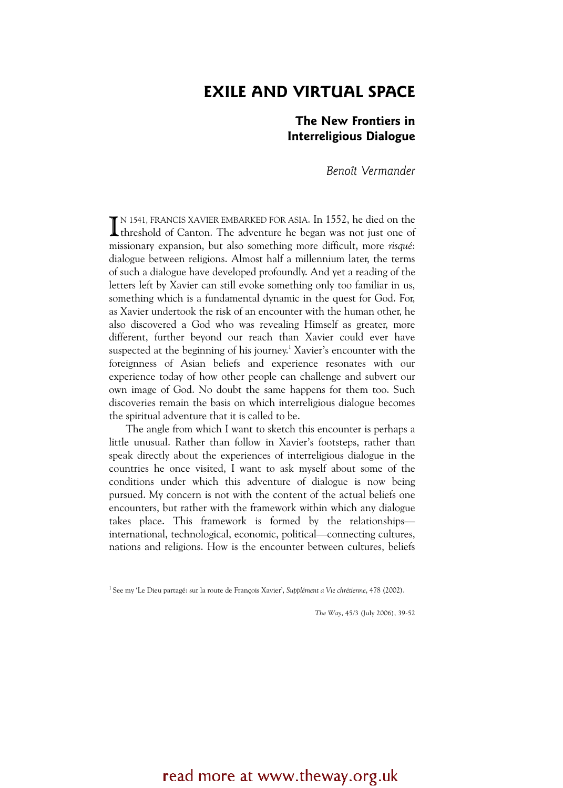# EXILE AND VIRTUAL SPACE

# The New Frontiers in **Interreligious Dialogue** Interretigious Dialogue

Benoît Vermander

N 1541, FRANCIS XAVIER EMBARKED FOR ASIA. In 1552, he died on the IN 1541, FRANCIS XAVIER EMBARKED FOR ASIA. In 1552, he died on the threshold of Canton. The adventure he began was not just one of missionary expansion, but also something more difficult, more risqué: dialogue between religions. Almost half a millennium later, the terms of such a dialogue have developed profoundly. And yet a reading of the letters left by Xavier can still evoke something only too familiar in us, something which is a fundamental dynamic in the quest for God. For, as Xavier undertook the risk of an encounter with the human other, he also discovered a God who was revealing Himself as greater, more different, further beyond our reach than Xavier could ever have suspected at the beginning of his journey.<sup>1</sup> Xavier's encounter with the foreignness of Asian beliefs and experience resonates with our experience today of how other people can challenge and subvert our own image of God. No doubt the same happens for them too. Such discoveries remain the basis on which interreligious dialogue becomes the spiritual adventure that it is called to be.

The angle from which I want to sketch this encounter is perhaps a little unusual. Rather than follow in Xavier's footsteps, rather than speak directly about the experiences of interreligious dialogue in the countries he once visited, I want to ask myself about some of the conditions under which this adventure of dialogue is now being pursued. My concern is not with the content of the actual beliefs one encounters, but rather with the framework within which any dialogue takes place. This framework is formed by the relationships international, technological, economic, political—connecting cultures, nations and religions. How is the encounter between cultures, beliefs

<sup>1</sup> See my 'Le Dieu partagé: sur la route de François Xavier', Supplément a Vie chrétienne, 478 (2002).

The Way, 45/3 (July 2006), 39-52

# read more at www.theway.org.uk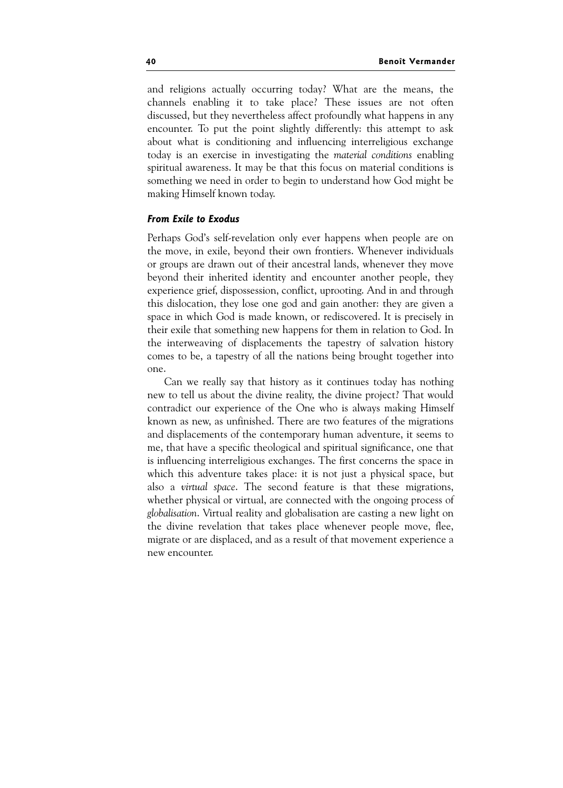and religions actually occurring today? What are the means, the channels enabling it to take place? These issues are not often discussed, but they nevertheless affect profoundly what happens in any encounter. To put the point slightly differently: this attempt to ask about what is conditioning and influencing interreligious exchange today is an exercise in investigating the material conditions enabling spiritual awareness. It may be that this focus on material conditions is something we need in order to begin to understand how God might be making Himself known today.

### From Exile to Exodus

Perhaps God's self-revelation only ever happens when people are on the move, in exile, beyond their own frontiers. Whenever individuals or groups are drawn out of their ancestral lands, whenever they move beyond their inherited identity and encounter another people, they experience grief, dispossession, conflict, uprooting. And in and through this dislocation, they lose one god and gain another: they are given a space in which God is made known, or rediscovered. It is precisely in their exile that something new happens for them in relation to God. In the interweaving of displacements the tapestry of salvation history comes to be, a tapestry of all the nations being brought together into one.

Can we really say that history as it continues today has nothing new to tell us about the divine reality, the divine project? That would contradict our experience of the One who is always making Himself known as new, as unfinished. There are two features of the migrations and displacements of the contemporary human adventure, it seems to me, that have a specific theological and spiritual significance, one that is influencing interreligious exchanges. The first concerns the space in which this adventure takes place: it is not just a physical space, but also a virtual space. The second feature is that these migrations, whether physical or virtual, are connected with the ongoing process of globalisation. Virtual reality and globalisation are casting a new light on the divine revelation that takes place whenever people move, flee, migrate or are displaced, and as a result of that movement experience a new encounter.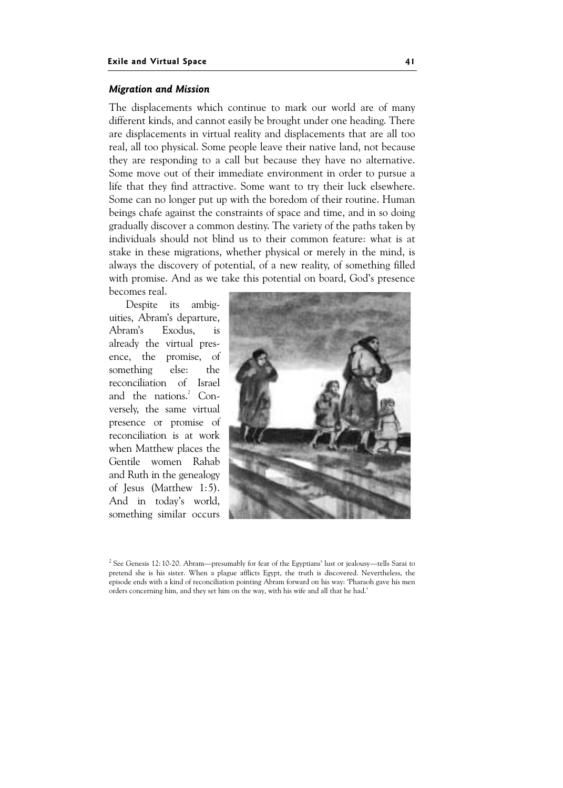#### Migration and Mission

The displacements which continue to mark our world are of many different kinds, and cannot easily be brought under one heading. There are displacements in virtual reality and displacements that are all too real, all too physical. Some people leave their native land, not because they are responding to a call but because they have no alternative. Some move out of their immediate environment in order to pursue a life that they find attractive. Some want to try their luck elsewhere. Some can no longer put up with the boredom of their routine. Human beings chafe against the constraints of space and time, and in so doing gradually discover a common destiny. The variety of the paths taken by individuals should not blind us to their common feature: what is at stake in these migrations, whether physical or merely in the mind, is always the discovery of potential, of a new reality, of something filled with promise. And as we take this potential on board, God's presence becomes real.

Despite its ambiguities, Abram's departure, Abram's Exodus, is already the virtual presence, the promise, of something else: the reconciliation of Israel and the nations.<sup>2</sup> Conversely, the same virtual presence or promise of reconciliation is at work when Matthew places the Gentile women Rahab and Ruth in the genealogy of Jesus (Matthew 1:5). And in today's world, something similar occurs



<sup>2</sup> See Genesis 12:10-20. Abram—presumably for fear of the Egyptians' lust or jealousy—tells Sarai to pretend she is his sister. When a plague afflicts Egypt, the truth is discovered. Nevertheless, the episode ends with a kind of reconciliation pointing Abram forward on his way: 'Pharaoh gave his men orders concerning him, and they set him on the way, with his wife and all that he had.'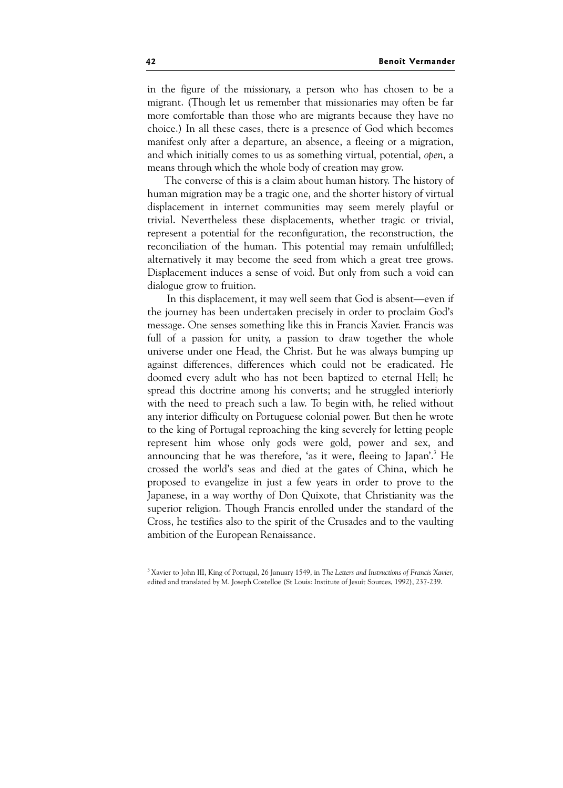in the figure of the missionary, a person who has chosen to be a migrant. (Though let us remember that missionaries may often be far more comfortable than those who are migrants because they have no choice.) In all these cases, there is a presence of God which becomes manifest only after a departure, an absence, a fleeing or a migration, and which initially comes to us as something virtual, potential, open, a means through which the whole body of creation may grow.

The converse of this is a claim about human history. The history of human migration may be a tragic one, and the shorter history of virtual displacement in internet communities may seem merely playful or trivial. Nevertheless these displacements, whether tragic or trivial, represent a potential for the reconfiguration, the reconstruction, the reconciliation of the human. This potential may remain unfulfilled; alternatively it may become the seed from which a great tree grows. Displacement induces a sense of void. But only from such a void can dialogue grow to fruition.

 In this displacement, it may well seem that God is absent—even if the journey has been undertaken precisely in order to proclaim God's message. One senses something like this in Francis Xavier. Francis was full of a passion for unity, a passion to draw together the whole universe under one Head, the Christ. But he was always bumping up against differences, differences which could not be eradicated. He doomed every adult who has not been baptized to eternal Hell; he spread this doctrine among his converts; and he struggled interiorly with the need to preach such a law. To begin with, he relied without any interior difficulty on Portuguese colonial power. But then he wrote to the king of Portugal reproaching the king severely for letting people represent him whose only gods were gold, power and sex, and announcing that he was therefore, 'as it were, fleeing to Japan'.<sup>3</sup> He crossed the world's seas and died at the gates of China, which he proposed to evangelize in just a few years in order to prove to the Japanese, in a way worthy of Don Quixote, that Christianity was the superior religion. Though Francis enrolled under the standard of the Cross, he testifies also to the spirit of the Crusades and to the vaulting ambition of the European Renaissance.

<sup>&</sup>lt;sup>3</sup> Xavier to John III, King of Portugal, 26 January 1549, in The Letters and Instructions of Francis Xavier, edited and translated by M. Joseph Costelloe (St Louis: Institute of Jesuit Sources, 1992), 237-239.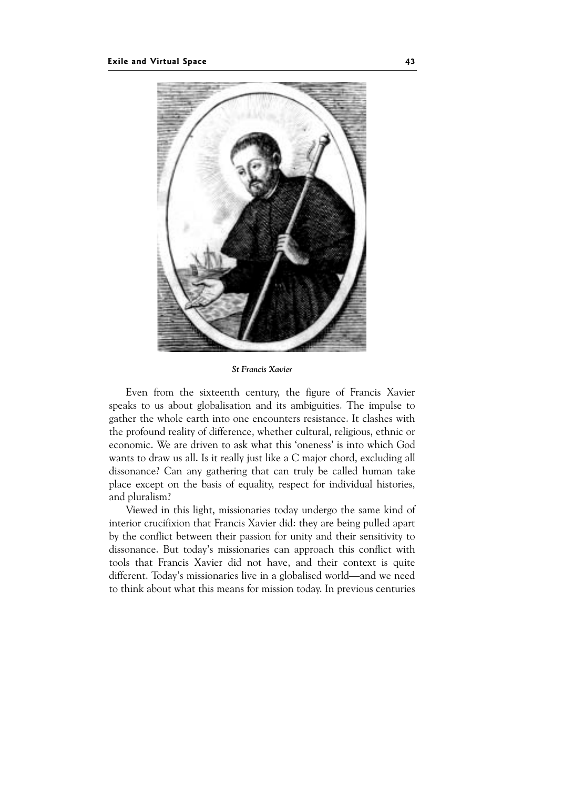

St Francis Xavier

Even from the sixteenth century, the figure of Francis Xavier speaks to us about globalisation and its ambiguities. The impulse to gather the whole earth into one encounters resistance. It clashes with the profound reality of difference, whether cultural, religious, ethnic or economic. We are driven to ask what this 'oneness' is into which God wants to draw us all. Is it really just like a C major chord, excluding all dissonance? Can any gathering that can truly be called human take place except on the basis of equality, respect for individual histories, and pluralism?

Viewed in this light, missionaries today undergo the same kind of interior crucifixion that Francis Xavier did: they are being pulled apart by the conflict between their passion for unity and their sensitivity to dissonance. But today's missionaries can approach this conflict with tools that Francis Xavier did not have, and their context is quite different. Today's missionaries live in a globalised world—and we need to think about what this means for mission today. In previous centuries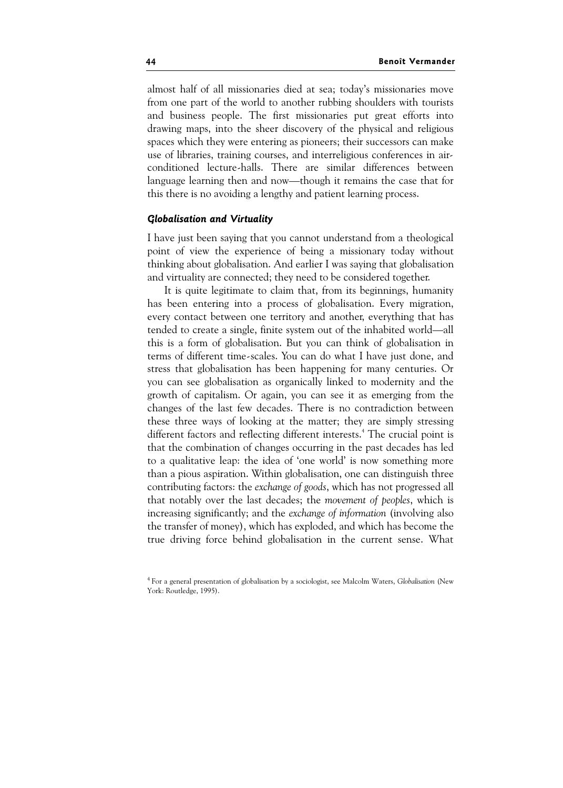almost half of all missionaries died at sea; today's missionaries move from one part of the world to another rubbing shoulders with tourists and business people. The first missionaries put great efforts into drawing maps, into the sheer discovery of the physical and religious spaces which they were entering as pioneers; their successors can make use of libraries, training courses, and interreligious conferences in airconditioned lecture-halls. There are similar differences between language learning then and now—though it remains the case that for this there is no avoiding a lengthy and patient learning process.

#### Globalisation and Virtuality

I have just been saying that you cannot understand from a theological point of view the experience of being a missionary today without thinking about globalisation. And earlier I was saying that globalisation and virtuality are connected; they need to be considered together.

It is quite legitimate to claim that, from its beginnings, humanity has been entering into a process of globalisation. Every migration, every contact between one territory and another, everything that has tended to create a single, finite system out of the inhabited world—all this is a form of globalisation. But you can think of globalisation in terms of different time-scales. You can do what I have just done, and stress that globalisation has been happening for many centuries. Or you can see globalisation as organically linked to modernity and the growth of capitalism. Or again, you can see it as emerging from the changes of the last few decades. There is no contradiction between these three ways of looking at the matter; they are simply stressing different factors and reflecting different interests.<sup>4</sup> The crucial point is that the combination of changes occurring in the past decades has led to a qualitative leap: the idea of 'one world' is now something more than a pious aspiration. Within globalisation, one can distinguish three contributing factors: the exchange of goods, which has not progressed all that notably over the last decades; the movement of peoples, which is increasing significantly; and the exchange of information (involving also the transfer of money), which has exploded, and which has become the true driving force behind globalisation in the current sense. What

<sup>&</sup>lt;sup>4</sup> For a general presentation of globalisation by a sociologist, see Malcolm Waters, Globalisation (New York: Routledge, 1995).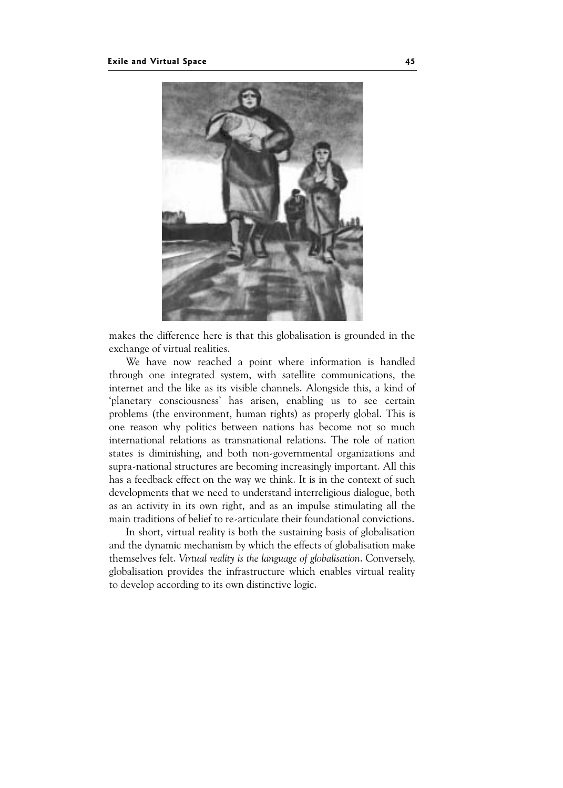

makes the difference here is that this globalisation is grounded in the exchange of virtual realities.

We have now reached a point where information is handled through one integrated system, with satellite communications, the internet and the like as its visible channels. Alongside this, a kind of 'planetary consciousness' has arisen, enabling us to see certain problems (the environment, human rights) as properly global. This is one reason why politics between nations has become not so much international relations as transnational relations. The role of nation states is diminishing, and both non-governmental organizations and supra-national structures are becoming increasingly important. All this has a feedback effect on the way we think. It is in the context of such developments that we need to understand interreligious dialogue, both as an activity in its own right, and as an impulse stimulating all the main traditions of belief to re-articulate their foundational convictions.

In short, virtual reality is both the sustaining basis of globalisation and the dynamic mechanism by which the effects of globalisation make themselves felt. Virtual reality is the language of globalisation. Conversely, globalisation provides the infrastructure which enables virtual reality to develop according to its own distinctive logic.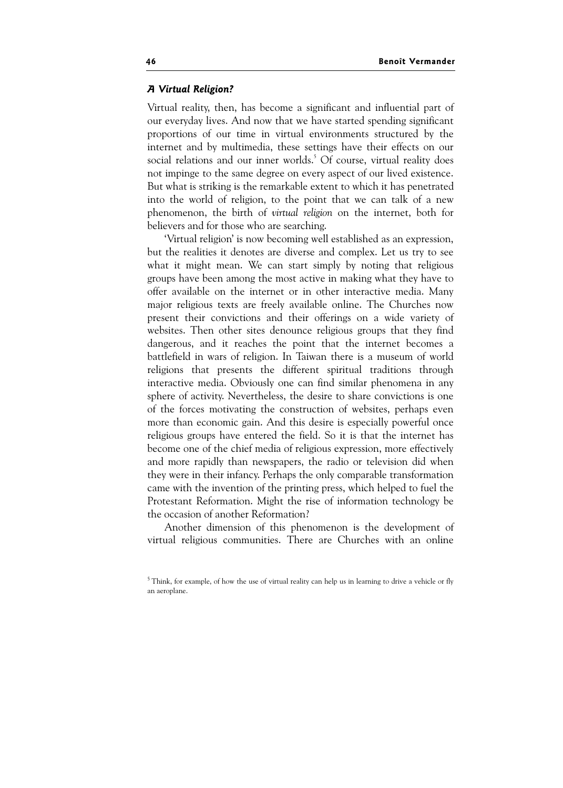### A Virtual Religion?

Virtual reality, then, has become a significant and influential part of our everyday lives. And now that we have started spending significant proportions of our time in virtual environments structured by the internet and by multimedia, these settings have their effects on our social relations and our inner worlds.<sup>5</sup> Of course, virtual reality does not impinge to the same degree on every aspect of our lived existence. But what is striking is the remarkable extent to which it has penetrated into the world of religion, to the point that we can talk of a new phenomenon, the birth of virtual religion on the internet, both for believers and for those who are searching.

'Virtual religion' is now becoming well established as an expression, but the realities it denotes are diverse and complex. Let us try to see what it might mean. We can start simply by noting that religious groups have been among the most active in making what they have to offer available on the internet or in other interactive media. Many major religious texts are freely available online. The Churches now present their convictions and their offerings on a wide variety of websites. Then other sites denounce religious groups that they find dangerous, and it reaches the point that the internet becomes a battlefield in wars of religion. In Taiwan there is a museum of world religions that presents the different spiritual traditions through interactive media. Obviously one can find similar phenomena in any sphere of activity. Nevertheless, the desire to share convictions is one of the forces motivating the construction of websites, perhaps even more than economic gain. And this desire is especially powerful once religious groups have entered the field. So it is that the internet has become one of the chief media of religious expression, more effectively and more rapidly than newspapers, the radio or television did when they were in their infancy. Perhaps the only comparable transformation came with the invention of the printing press, which helped to fuel the Protestant Reformation. Might the rise of information technology be the occasion of another Reformation?

Another dimension of this phenomenon is the development of virtual religious communities. There are Churches with an online

<sup>&</sup>lt;sup>5</sup> Think, for example, of how the use of virtual reality can help us in learning to drive a vehicle or fly an aeroplane.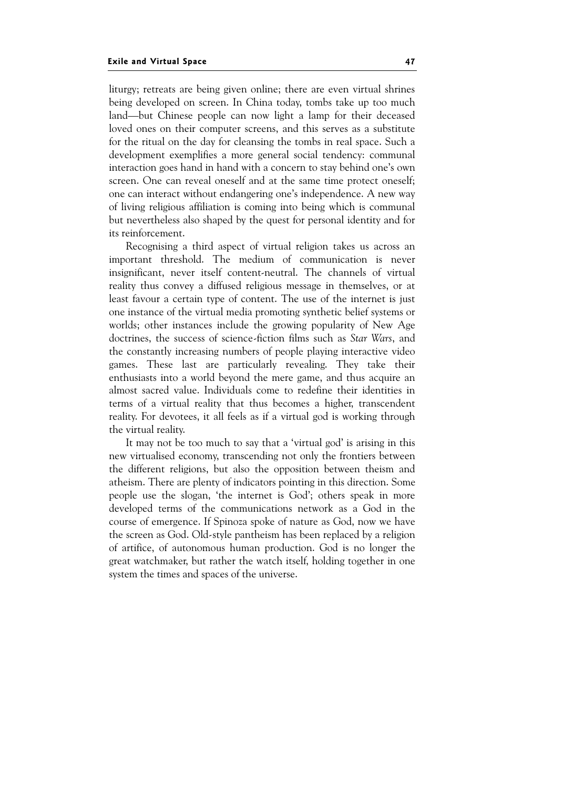liturgy; retreats are being given online; there are even virtual shrines being developed on screen. In China today, tombs take up too much land—but Chinese people can now light a lamp for their deceased loved ones on their computer screens, and this serves as a substitute for the ritual on the day for cleansing the tombs in real space. Such a development exemplifies a more general social tendency: communal interaction goes hand in hand with a concern to stay behind one's own screen. One can reveal oneself and at the same time protect oneself; one can interact without endangering one's independence. A new way of living religious affiliation is coming into being which is communal but nevertheless also shaped by the quest for personal identity and for its reinforcement.

Recognising a third aspect of virtual religion takes us across an important threshold. The medium of communication is never insignificant, never itself content-neutral. The channels of virtual reality thus convey a diffused religious message in themselves, or at least favour a certain type of content. The use of the internet is just one instance of the virtual media promoting synthetic belief systems or worlds; other instances include the growing popularity of New Age doctrines, the success of science-fiction films such as Star Wars, and the constantly increasing numbers of people playing interactive video games. These last are particularly revealing. They take their enthusiasts into a world beyond the mere game, and thus acquire an almost sacred value. Individuals come to redefine their identities in terms of a virtual reality that thus becomes a higher, transcendent reality. For devotees, it all feels as if a virtual god is working through the virtual reality.

It may not be too much to say that a 'virtual god' is arising in this new virtualised economy, transcending not only the frontiers between the different religions, but also the opposition between theism and atheism. There are plenty of indicators pointing in this direction. Some people use the slogan, 'the internet is God'; others speak in more developed terms of the communications network as a God in the course of emergence. If Spinoza spoke of nature as God, now we have the screen as God. Old-style pantheism has been replaced by a religion of artifice, of autonomous human production. God is no longer the great watchmaker, but rather the watch itself, holding together in one system the times and spaces of the universe.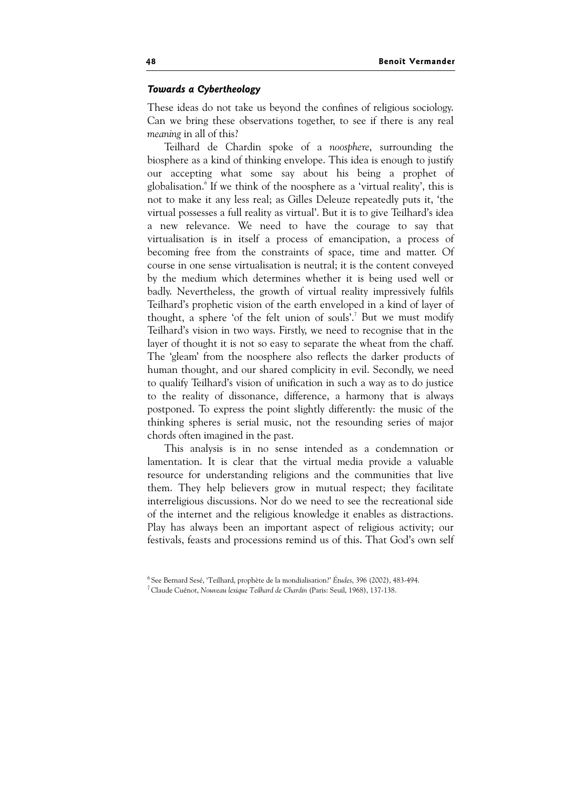#### Towards a Cybertheology

These ideas do not take us beyond the confines of religious sociology. Can we bring these observations together, to see if there is any real meaning in all of this?

Teilhard de Chardin spoke of a noosphere, surrounding the biosphere as a kind of thinking envelope. This idea is enough to justify our accepting what some say about his being a prophet of globalisation.<sup>6</sup> If we think of the noosphere as a 'virtual reality', this is not to make it any less real; as Gilles Deleuze repeatedly puts it, 'the virtual possesses a full reality as virtual'. But it is to give Teilhard's idea a new relevance. We need to have the courage to say that virtualisation is in itself a process of emancipation, a process of becoming free from the constraints of space, time and matter. Of course in one sense virtualisation is neutral; it is the content conveyed by the medium which determines whether it is being used well or badly. Nevertheless, the growth of virtual reality impressively fulfils Teilhard's prophetic vision of the earth enveloped in a kind of layer of thought, a sphere 'of the felt union of souls'.<sup>7</sup> But we must modify Teilhard's vision in two ways. Firstly, we need to recognise that in the layer of thought it is not so easy to separate the wheat from the chaff. The 'gleam' from the noosphere also reflects the darker products of human thought, and our shared complicity in evil. Secondly, we need to qualify Teilhard's vision of unification in such a way as to do justice to the reality of dissonance, difference, a harmony that is always postponed. To express the point slightly differently: the music of the thinking spheres is serial music, not the resounding series of major chords often imagined in the past.

This analysis is in no sense intended as a condemnation or lamentation. It is clear that the virtual media provide a valuable resource for understanding religions and the communities that live them. They help believers grow in mutual respect; they facilitate interreligious discussions. Nor do we need to see the recreational side of the internet and the religious knowledge it enables as distractions. Play has always been an important aspect of religious activity; our festivals, feasts and processions remind us of this. That God's own self

<sup>6</sup> See Bernard Sesé, 'Teilhard, prophète de la mondialisation?' Études, 396 (2002), 483-494.

<sup>7</sup>Claude Cuénot, Nouveau lexique Teilhard de Chardin (Paris: Seuil, 1968), 137-138.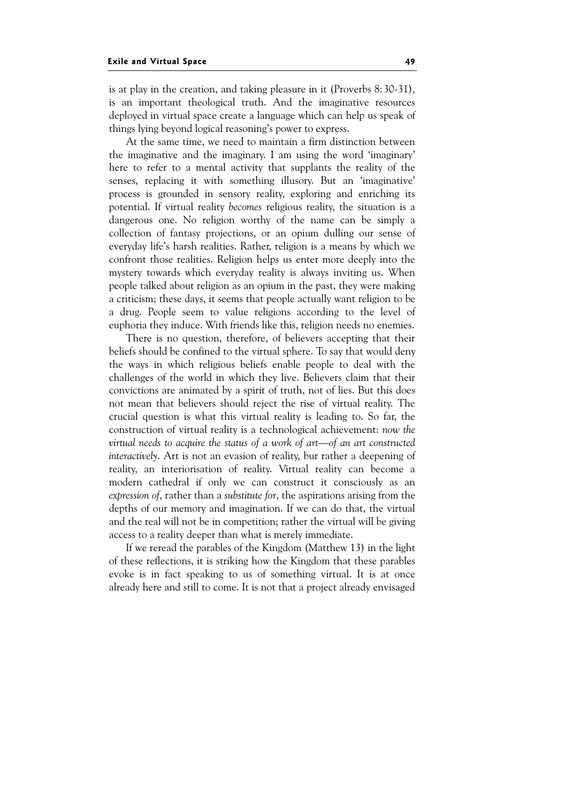is at play in the creation, and taking pleasure in it (Proverbs 8:30-31), is an important theological truth. And the imaginative resources deployed in virtual space create a language which can help us speak of things lying beyond logical reasoning's power to express.

At the same time, we need to maintain a firm distinction between the imaginative and the imaginary. I am using the word 'imaginary' here to refer to a mental activity that supplants the reality of the senses, replacing it with something illusory. But an 'imaginative' process is grounded in sensory reality, exploring and enriching its potential. If virtual reality becomes religious reality, the situation is a dangerous one. No religion worthy of the name can be simply a collection of fantasy projections, or an opium dulling our sense of everyday life's harsh realities. Rather, religion is a means by which we confront those realities. Religion helps us enter more deeply into the mystery towards which everyday reality is always inviting us. When people talked about religion as an opium in the past, they were making a criticism; these days, it seems that people actually want religion to be a drug. People seem to value religions according to the level of euphoria they induce. With friends like this, religion needs no enemies.

There is no question, therefore, of believers accepting that their beliefs should be confined to the virtual sphere. To say that would deny the ways in which religious beliefs enable people to deal with the challenges of the world in which they live. Believers claim that their convictions are animated by a spirit of truth, not of lies. But this does not mean that believers should reject the rise of virtual reality. The crucial question is what this virtual reality is leading to. So far, the construction of virtual reality is a technological achievement: now the virtual needs to acquire the status of a work of art—of an art constructed interactively. Art is not an evasion of reality, bur rather a deepening of reality, an interiorisation of reality. Virtual reality can become a modern cathedral if only we can construct it consciously as an expression of, rather than a substitute for, the aspirations arising from the depths of our memory and imagination. If we can do that, the virtual and the real will not be in competition; rather the virtual will be giving access to a reality deeper than what is merely immediate.

If we reread the parables of the Kingdom (Matthew 13) in the light of these reflections, it is striking how the Kingdom that these parables evoke is in fact speaking to us of something virtual. It is at once already here and still to come. It is not that a project already envisaged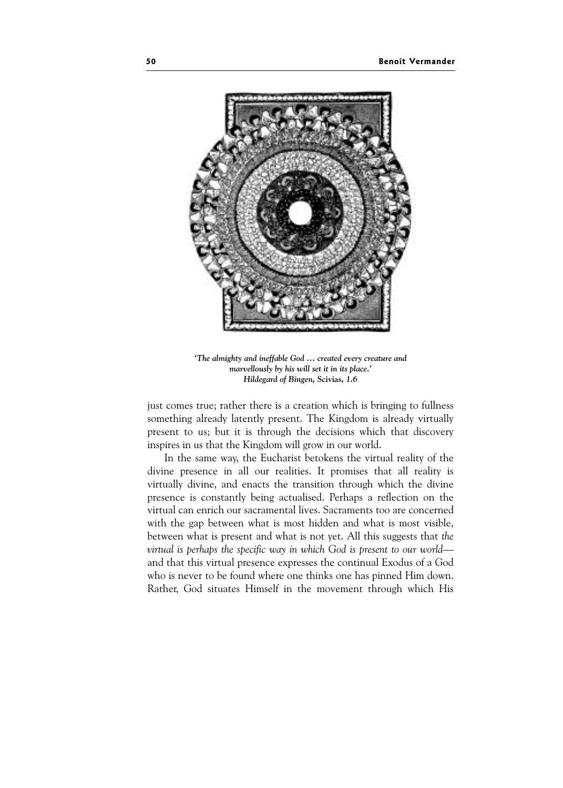

'The almighty and ineffable God … created every creature and marvellously by his will set it in its place.' Hildegard of Bingen, Scivias, 1.6

just comes true; rather there is a creation which is bringing to fullness something already latently present. The Kingdom is already virtually present to us; but it is through the decisions which that discovery inspires in us that the Kingdom will grow in our world.

In the same way, the Eucharist betokens the virtual reality of the divine presence in all our realities. It promises that all reality is virtually divine, and enacts the transition through which the divine presence is constantly being actualised. Perhaps a reflection on the virtual can enrich our sacramental lives. Sacraments too are concerned with the gap between what is most hidden and what is most visible, between what is present and what is not yet. All this suggests that the virtual is perhaps the specific way in which God is present to our world and that this virtual presence expresses the continual Exodus of a God who is never to be found where one thinks one has pinned Him down. Rather, God situates Himself in the movement through which His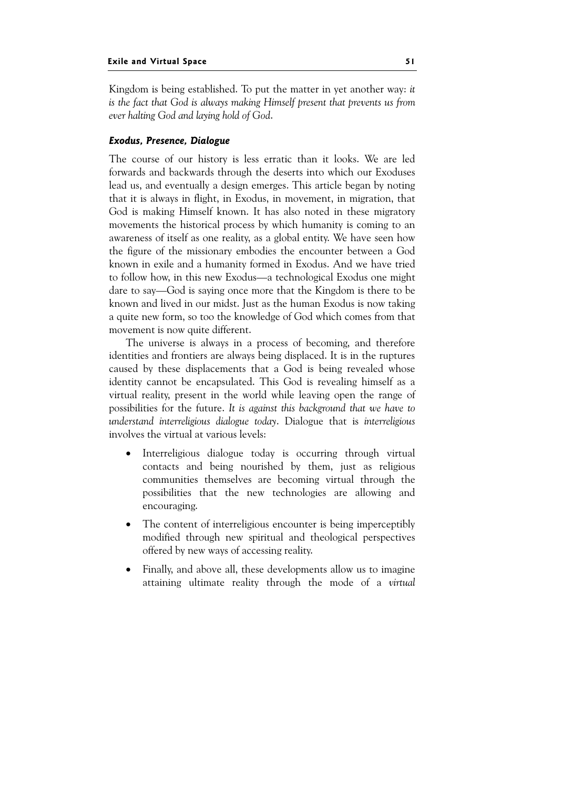Kingdom is being established. To put the matter in yet another way: it is the fact that God is always making Himself present that prevents us from ever halting God and laying hold of God.

## Exodus, Presence, Dialogue

The course of our history is less erratic than it looks. We are led forwards and backwards through the deserts into which our Exoduses lead us, and eventually a design emerges. This article began by noting that it is always in flight, in Exodus, in movement, in migration, that God is making Himself known. It has also noted in these migratory movements the historical process by which humanity is coming to an awareness of itself as one reality, as a global entity. We have seen how the figure of the missionary embodies the encounter between a God known in exile and a humanity formed in Exodus. And we have tried to follow how, in this new Exodus—a technological Exodus one might dare to say—God is saying once more that the Kingdom is there to be known and lived in our midst. Just as the human Exodus is now taking a quite new form, so too the knowledge of God which comes from that movement is now quite different.

The universe is always in a process of becoming, and therefore identities and frontiers are always being displaced. It is in the ruptures caused by these displacements that a God is being revealed whose identity cannot be encapsulated. This God is revealing himself as a virtual reality, present in the world while leaving open the range of possibilities for the future. It is against this background that we have to understand interreligious dialogue today. Dialogue that is interreligious involves the virtual at various levels:

- Interreligious dialogue today is occurring through virtual contacts and being nourished by them, just as religious communities themselves are becoming virtual through the possibilities that the new technologies are allowing and encouraging.
- The content of interreligious encounter is being imperceptibly modified through new spiritual and theological perspectives offered by new ways of accessing reality.
- Finally, and above all, these developments allow us to imagine attaining ultimate reality through the mode of a virtual